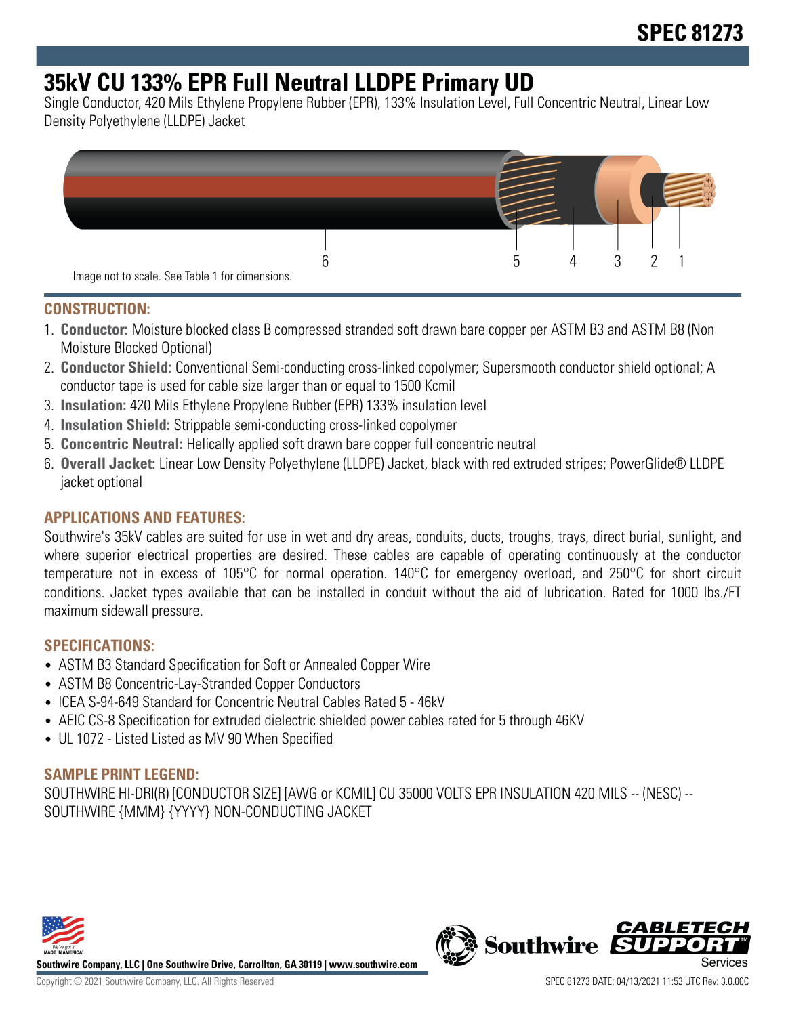# **35kV CU 133% EPR Full Neutral LLDPE Primary UD**

Single Conductor, 420 Mils Ethylene Propylene Rubber (EPR), 133% Insulation Level, Full Concentric Neutral, Linear Low Density Polyethylene (LLDPE) Jacket



#### **CONSTRUCTION:**

- 1. **Conductor:** Moisture blocked class B compressed stranded soft drawn bare copper per ASTM B3 and ASTM B8 (Non Moisture Blocked Optional)
- 2. **Conductor Shield:** Conventional Semi-conducting cross-linked copolymer; Supersmooth conductor shield optional; A conductor tape is used for cable size larger than or equal to 1500 Kcmil
- 3. **Insulation:** 420 Mils Ethylene Propylene Rubber (EPR) 133% insulation level
- 4. **Insulation Shield:** Strippable semi-conducting cross-linked copolymer
- 5. **Concentric Neutral:** Helically applied soft drawn bare copper full concentric neutral
- 6. **Overall Jacket:** Linear Low Density Polyethylene (LLDPE) Jacket, black with red extruded stripes; PowerGlide® LLDPE jacket optional

# **APPLICATIONS AND FEATURES:**

Southwire's 35kV cables are suited for use in wet and dry areas, conduits, ducts, troughs, trays, direct burial, sunlight, and where superior electrical properties are desired. These cables are capable of operating continuously at the conductor temperature not in excess of 105°C for normal operation. 140°C for emergency overload, and 250°C for short circuit conditions. Jacket types available that can be installed in conduit without the aid of lubrication. Rated for 1000 lbs./FT maximum sidewall pressure.

#### **SPECIFICATIONS:**

- ASTM B3 Standard Specification for Soft or Annealed Copper Wire
- ASTM B8 Concentric-Lay-Stranded Copper Conductors
- ICEA S-94-649 Standard for Concentric Neutral Cables Rated 5 46kV
- AEIC CS-8 Specification for extruded dielectric shielded power cables rated for 5 through 46KV
- UL 1072 Listed Listed as MV 90 When Specified

#### **SAMPLE PRINT LEGEND:**

SOUTHWIRE HI-DRI(R) [CONDUCTOR SIZE] [AWG or KCMIL] CU 35000 VOLTS EPR INSULATION 420 MILS -- (NESC) -- SOUTHWIRE {MMM} {YYYY} NON-CONDUCTING JACKET



**Southwire Company, LLC | One Southwire Drive, Carrollton, GA 30119 | www.southwire.com**

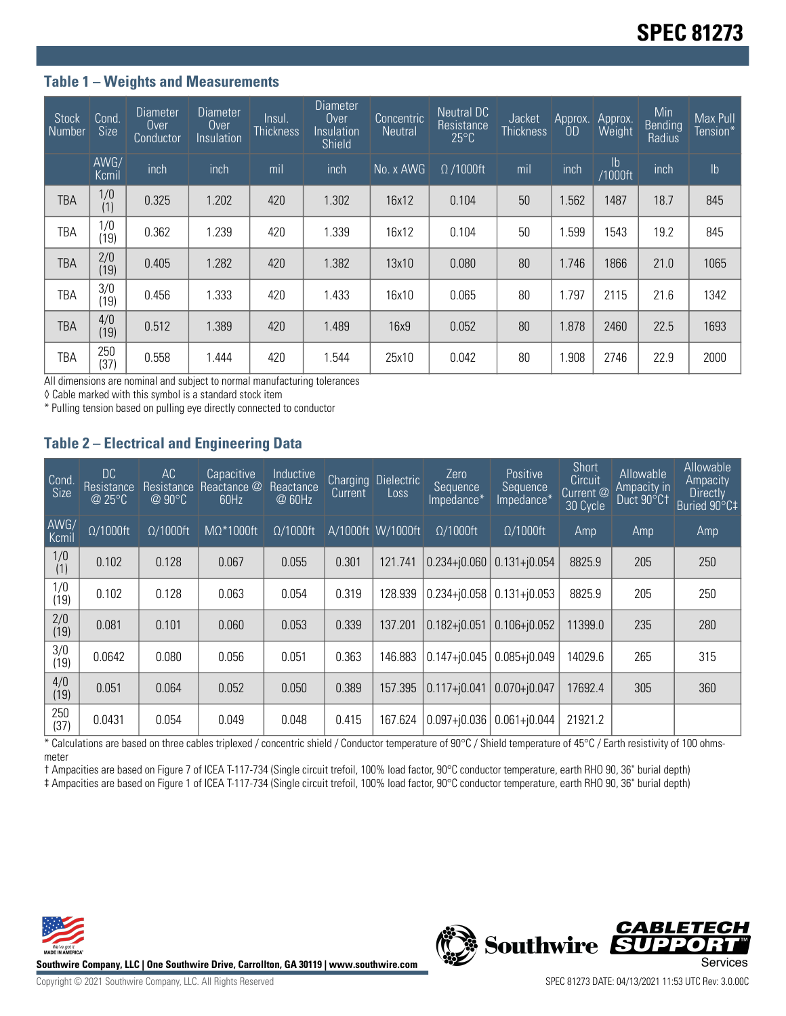## **Table 1 – Weights and Measurements**

| <b>Stock</b><br>Number | Cond.<br><b>Size</b> | Diameter<br>Over<br><b>Conductor</b> | Diameter<br>Over<br>Insulation | Insul.<br><b>Thickness</b> | Diameter<br>Over<br>Insulation<br>Shield | Concentric<br><b>Neutral</b> | Neutral DC<br>Resistance<br>$25^{\circ}$ C | Jacket<br><b>Thickness</b> | Approx.<br>0D | Approx.<br>Weight        | Min<br>Bending<br>Radius | Max Pull<br>Tension* |
|------------------------|----------------------|--------------------------------------|--------------------------------|----------------------------|------------------------------------------|------------------------------|--------------------------------------------|----------------------------|---------------|--------------------------|--------------------------|----------------------|
|                        | AWG/<br>Kcmil        | inch                                 | inch                           | mil                        | inch                                     | No. x AWG                    | $\Omega$ /1000ft                           | mil                        | inch          | $\mathsf{lb}$<br>/1000ft | inch                     | $\mathsf{lb}$        |
| TBA                    | 1/0<br>(1)           | 0.325                                | 1.202                          | 420                        | 1.302                                    | 16x12                        | 0.104                                      | 50                         | 1.562         | 1487                     | 18.7                     | 845                  |
| TBA                    | 1/0<br>(19)          | 0.362                                | 1.239                          | 420                        | 1.339                                    | 16x12                        | 0.104                                      | 50                         | 1.599         | 1543                     | 19.2                     | 845                  |
| <b>TBA</b>             | 2/0<br>(19)          | 0.405                                | 1.282                          | 420                        | 1.382                                    | 13x10                        | 0.080                                      | 80                         | 1.746         | 1866                     | 21.0                     | 1065                 |
| TBA                    | 3/0<br>(19)          | 0.456                                | 1.333                          | 420                        | 1.433                                    | 16x10                        | 0.065                                      | 80                         | 1.797         | 2115                     | 21.6                     | 1342                 |
| <b>TBA</b>             | 4/0<br>(19)          | 0.512                                | 1.389                          | 420                        | 1.489                                    | 16x9                         | 0.052                                      | 80                         | 1.878         | 2460                     | 22.5                     | 1693                 |
| TBA                    | 250<br>(37)          | 0.558                                | 1.444                          | 420                        | 1.544                                    | 25x10                        | 0.042                                      | 80                         | 1.908         | 2746                     | 22.9                     | 2000                 |

All dimensions are nominal and subject to normal manufacturing tolerances

◊ Cable marked with this symbol is a standard stock item

\* Pulling tension based on pulling eye directly connected to conductor

## **Table 2 – Electrical and Engineering Data**

| Cond<br><b>Size</b> | DC<br><b>Resistance</b><br>@ 25°C | AC<br>Resistance<br>$@90^{\circ}C$ | Capacitive<br>Reactance @<br>60Hz | Inductive<br>Reactance<br>@ 60Hz | Current | Charging Dielectric<br>Loss | Zero<br>Sequence<br>Impedance* | Positive<br>Sequence<br>Impedance* | Short<br>Circuit<br>Current @<br>30 Cycle | Allowable<br>Ampacity in<br>Duct 90°C1 | Allowable<br>Ampacity<br><b>Directly</b><br>Buried 90°C‡ |
|---------------------|-----------------------------------|------------------------------------|-----------------------------------|----------------------------------|---------|-----------------------------|--------------------------------|------------------------------------|-------------------------------------------|----------------------------------------|----------------------------------------------------------|
| AWG/<br>Kcmil       | $\Omega/1000$ ft                  | $\Omega/1000$ ft                   | $M\Omega^*1000$ ft                | $\Omega/1000$ ft                 |         | A/1000ft W/1000ft           | $\Omega/1000$ ft               | $\Omega/1000$ ft                   | Amp                                       | Amp                                    | Amp                                                      |
| 1/0<br>(1)          | 0.102                             | 0.128                              | 0.067                             | 0.055                            | 0.301   | 121.741                     | $ 0.234 +  0.060 $             | $0.131 + j0.054$                   | 8825.9                                    | 205                                    | 250                                                      |
| 1/0<br>(19)         | 0.102                             | 0.128                              | 0.063                             | 0.054                            | 0.319   | 128.939                     | $0.234 + 0.058$                | $0.131 + j0.053$                   | 8825.9                                    | 205                                    | 250                                                      |
| 2/0<br>(19)         | 0.081                             | 0.101                              | 0.060                             | 0.053                            | 0.339   | 137.201                     | $0.182 + 0.051$                | $0.106 + j0.052$                   | 11399.0                                   | 235                                    | 280                                                      |
| 3/0<br>(19)         | 0.0642                            | 0.080                              | 0.056                             | 0.051                            | 0.363   | 146.883                     | $ 0.147 +  0.045 $             | $0.085 + j0.049$                   | 14029.6                                   | 265                                    | 315                                                      |
| 4/0<br>(19)         | 0.051                             | 0.064                              | 0.052                             | 0.050                            | 0.389   | 157.395                     | $0.117 + j0.041$               | $0.070 + j0.047$                   | 17692.4                                   | 305                                    | 360                                                      |
| 250<br>(37)         | 0.0431                            | 0.054                              | 0.049                             | 0.048                            | 0.415   | 167.624                     | $0.097 + 0.036$                | $0.061 + i0.044$                   | 21921.2                                   |                                        |                                                          |

\* Calculations are based on three cables triplexed / concentric shield / Conductor temperature of 90°C / Shield temperature of 45°C / Earth resistivity of 100 ohmsmeter

† Ampacities are based on Figure 7 of ICEA T-117-734 (Single circuit trefoil, 100% load factor, 90°C conductor temperature, earth RHO 90, 36" burial depth)

‡ Ampacities are based on Figure 1 of ICEA T-117-734 (Single circuit trefoil, 100% load factor, 90°C conductor temperature, earth RHO 90, 36" burial depth)